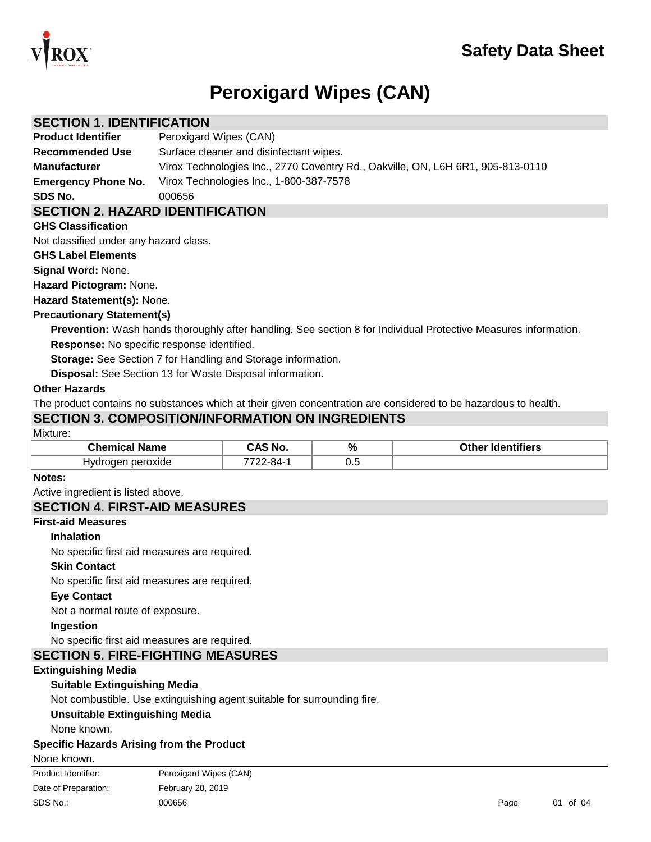

# **Peroxigard Wipes (CAN)**

## **SECTION 1. IDENTIFICATION**

**Product Identifier** Peroxigard Wipes (CAN)

**Recommended Use** Surface cleaner and disinfectant wipes. **Manufacturer** Virox Technologies Inc., 2770 Coventry Rd., Oakville, ON, L6H 6R1, 905-813-0110

**Emergency Phone No.** Virox Technologies Inc., 1-800-387-7578

**SDS No.** 000656

# **SECTION 2. HAZARD IDENTIFICATION**

#### **GHS Classification**

Not classified under any hazard class.

#### **GHS Label Elements**

**Signal Word:** None.

**Hazard Pictogram:** None.

**Hazard Statement(s):** None.

#### **Precautionary Statement(s)**

**Prevention:** Wash hands thoroughly after handling. See section 8 for Individual Protective Measures information. **Response:** No specific response identified.

**Storage:** See Section 7 for Handling and Storage information.

**Disposal:** See Section 13 for Waste Disposal information.

#### **Other Hazards**

The product contains no substances which at their given concentration are considered to be hazardous to health.

## **SECTION 3. COMPOSITION/INFORMATION ON INGREDIENTS**

#### Mixture:

| `hami<br><b>Name</b>    | No             | %   | าtifiers<br>∩ther<br>Ident |
|-------------------------|----------------|-----|----------------------------|
| peroxide<br>Ч٧٢<br>naer | O <sub>A</sub> | ∪.⊾ |                            |

#### **Notes:**

Active ingredient is listed above.

# **SECTION 4. FIRST-AID MEASURES**

## **First-aid Measures**

#### **Inhalation**

No specific first aid measures are required.

#### **Skin Contact**

No specific first aid measures are required.

#### **Eye Contact**

Not a normal route of exposure.

**Ingestion**

No specific first aid measures are required.

# **SECTION 5. FIRE-FIGHTING MEASURES**

#### **Extinguishing Media**

#### **Suitable Extinguishing Media**

Not combustible. Use extinguishing agent suitable for surrounding fire.

#### **Unsuitable Extinguishing Media**

None known.

#### **Specific Hazards Arising from the Product**

None known.

| Product Identifier:  | Peroxigard Wipes (CAN) |      |          |
|----------------------|------------------------|------|----------|
| Date of Preparation: | February 28, 2019      |      |          |
| SDS No.:             | 000656                 | Page | 01 of 04 |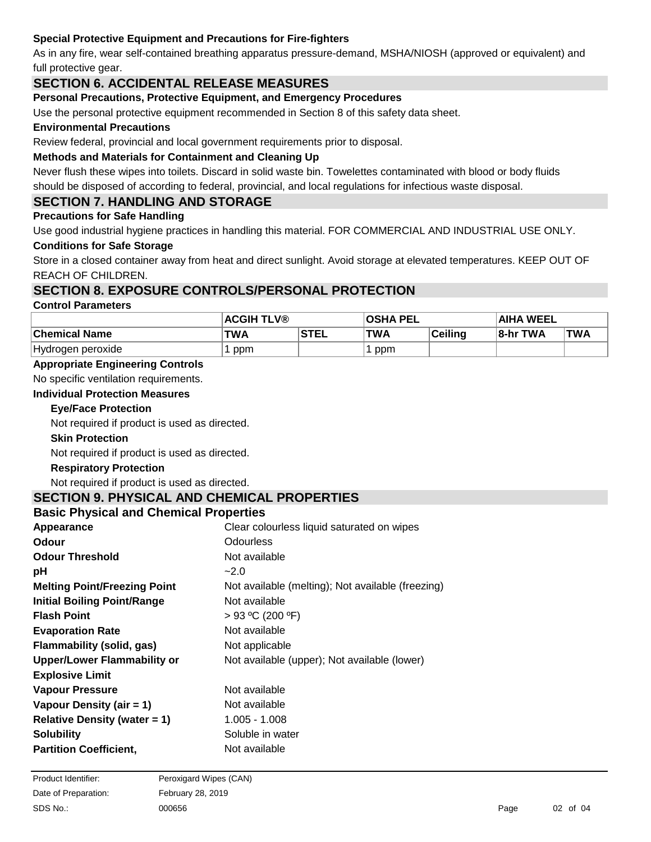# **Special Protective Equipment and Precautions for Fire-fighters**

As in any fire, wear self-contained breathing apparatus pressure-demand, MSHA/NIOSH (approved or equivalent) and full protective gear.

# **SECTION 6. ACCIDENTAL RELEASE MEASURES**

#### **Personal Precautions, Protective Equipment, and Emergency Procedures**

Use the personal protective equipment recommended in Section 8 of this safety data sheet.

#### **Environmental Precautions**

Review federal, provincial and local government requirements prior to disposal.

#### **Methods and Materials for Containment and Cleaning Up**

Never flush these wipes into toilets. Discard in solid waste bin. Towelettes contaminated with blood or body fluids

should be disposed of according to federal, provincial, and local regulations for infectious waste disposal.

# **SECTION 7. HANDLING AND STORAGE**

#### **Precautions for Safe Handling**

Use good industrial hygiene practices in handling this material. FOR COMMERCIAL AND INDUSTRIAL USE ONLY.

#### **Conditions for Safe Storage**

Store in a closed container away from heat and direct sunlight. Avoid storage at elevated temperatures. KEEP OUT OF REACH OF CHILDREN.

## **SECTION 8. EXPOSURE CONTROLS/PERSONAL PROTECTION**

#### **Control Parameters**

|                      | <b>ACGIH TLV®</b> |             | <b>OSHA PEL</b> |         | <b>AIHA WEEL</b> |      |
|----------------------|-------------------|-------------|-----------------|---------|------------------|------|
| <b>Chemical Name</b> | TWA               | <b>STEL</b> | <b>TWA</b>      | Ceiling | 8-hr TWA         | 'TWA |
| Hydrogen peroxide    | ppm               |             | ppm             |         |                  |      |

#### **Appropriate Engineering Controls**

No specific ventilation requirements.

#### **Individual Protection Measures**

#### **Eye/Face Protection**

Not required if product is used as directed.

#### **Skin Protection**

Not required if product is used as directed.

#### **Respiratory Protection**

Not required if product is used as directed.

#### **SECTION 9. PHYSICAL AND CHEMICAL PROPERTIES**

#### **Basic Physical and Chemical Properties**

| Appearance                          | Clear colourless liquid saturated on wipes        |
|-------------------------------------|---------------------------------------------------|
| <b>Odour</b>                        | Odourless                                         |
| <b>Odour Threshold</b>              | Not available                                     |
| рH                                  | $-2.0$                                            |
| <b>Melting Point/Freezing Point</b> | Not available (melting); Not available (freezing) |
| <b>Initial Boiling Point/Range</b>  | Not available                                     |
| <b>Flash Point</b>                  | $> 93$ °C (200 °F)                                |
| <b>Evaporation Rate</b>             | Not available                                     |
| Flammability (solid, gas)           | Not applicable                                    |
| <b>Upper/Lower Flammability or</b>  | Not available (upper); Not available (lower)      |
| <b>Explosive Limit</b>              |                                                   |
| <b>Vapour Pressure</b>              | Not available                                     |
| Vapour Density (air = 1)            | Not available                                     |
| Relative Density (water $= 1$ )     | $1.005 - 1.008$                                   |
| <b>Solubility</b>                   | Soluble in water                                  |
| <b>Partition Coefficient,</b>       | Not available                                     |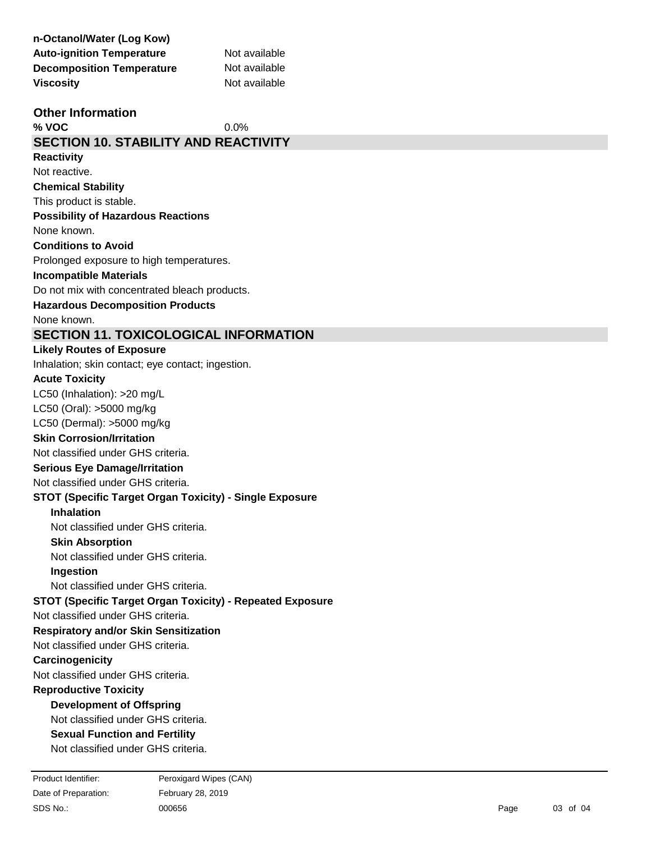| n-Octanol/Water (Log Kow)                                 |               |
|-----------------------------------------------------------|---------------|
| <b>Auto-ignition Temperature</b>                          | Not available |
| <b>Decomposition Temperature</b>                          | Not available |
| <b>Viscosity</b>                                          | Not available |
| <b>Other Information</b>                                  |               |
| % VOC                                                     | 0.0%          |
| <b>SECTION 10. STABILITY AND REACTIVITY</b>               |               |
| <b>Reactivity</b>                                         |               |
| Not reactive.                                             |               |
| <b>Chemical Stability</b>                                 |               |
| This product is stable.                                   |               |
| <b>Possibility of Hazardous Reactions</b>                 |               |
| None known.                                               |               |
| <b>Conditions to Avoid</b>                                |               |
| Prolonged exposure to high temperatures.                  |               |
| <b>Incompatible Materials</b>                             |               |
| Do not mix with concentrated bleach products.             |               |
| <b>Hazardous Decomposition Products</b>                   |               |
| None known.                                               |               |
| <b>SECTION 11. TOXICOLOGICAL INFORMATION</b>              |               |
| <b>Likely Routes of Exposure</b>                          |               |
| Inhalation; skin contact; eye contact; ingestion.         |               |
| <b>Acute Toxicity</b>                                     |               |
| LC50 (Inhalation): >20 mg/L                               |               |
| LC50 (Oral): >5000 mg/kg                                  |               |
| LC50 (Dermal): >5000 mg/kg                                |               |
| <b>Skin Corrosion/Irritation</b>                          |               |
| Not classified under GHS criteria.                        |               |
| <b>Serious Eye Damage/Irritation</b>                      |               |
| Not classified under GHS criteria.                        |               |
| STOT (Specific Target Organ Toxicity) - Single Exposure   |               |
| <b>Inhalation</b>                                         |               |
| Not classified under GHS criteria.                        |               |
| <b>Skin Absorption</b>                                    |               |
| Not classified under GHS criteria.                        |               |
| Ingestion                                                 |               |
| Not classified under GHS criteria.                        |               |
| STOT (Specific Target Organ Toxicity) - Repeated Exposure |               |
| Not classified under GHS criteria.                        |               |
| <b>Respiratory and/or Skin Sensitization</b>              |               |
| Not classified under GHS criteria.                        |               |
| Carcinogenicity                                           |               |

Not classified under GHS criteria.

# **Reproductive Toxicity**

# **Development of Offspring**

Not classified under GHS criteria.

# **Sexual Function and Fertility**

Not classified under GHS criteria.